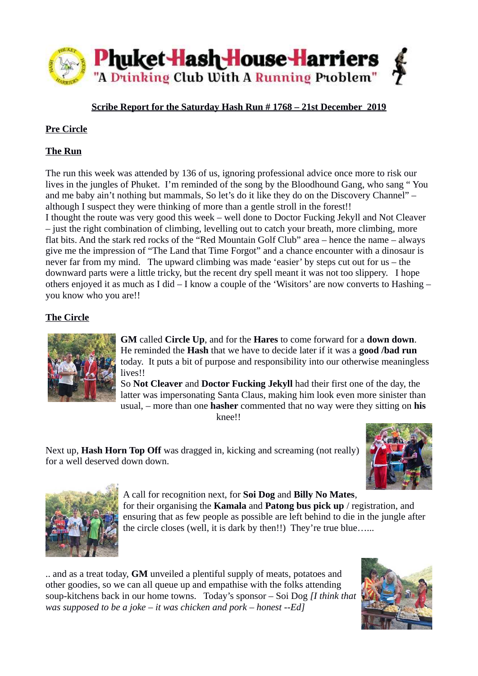

# **Scribe Report for the Saturday Hash Run # 1768 – 21st December 2019**

## **Pre Circle**

#### **The Run**

The run this week was attended by 136 of us, ignoring professional advice once more to risk our lives in the jungles of Phuket. I'm reminded of the song by the Bloodhound Gang, who sang " You and me baby ain't nothing but mammals, So let's do it like they do on the Discovery Channel" – although I suspect they were thinking of more than a gentle stroll in the forest!! I thought the route was very good this week – well done to Doctor Fucking Jekyll and Not Cleaver – just the right combination of climbing, levelling out to catch your breath, more climbing, more flat bits. And the stark red rocks of the "Red Mountain Golf Club" area – hence the name – always give me the impression of "The Land that Time Forgot" and a chance encounter with a dinosaur is never far from my mind. The upward climbing was made 'easier' by steps cut out for us – the downward parts were a little tricky, but the recent dry spell meant it was not too slippery. I hope others enjoyed it as much as I did – I know a couple of the 'Wisitors' are now converts to Hashing – you know who you are!!

## **The Circle**



**GM** called **Circle Up**, and for the **Hares** to come forward for a **down down**. He reminded the **Hash** that we have to decide later if it was a **good /bad run** today. It puts a bit of purpose and responsibility into our otherwise meaningless lives!!

So **Not Cleaver** and **Doctor Fucking Jekyll** had their first one of the day, the latter was impersonating Santa Claus, making him look even more sinister than usual, – more than one **hasher** commented that no way were they sitting on **his** knee!!

Next up, **Hash Horn Top Off** was dragged in, kicking and screaming (not really) for a well deserved down down.





A call for recognition next, for **Soi Dog** and **Billy No Mates**, for their organising the **Kamala** and **Patong bus pick up** / registration, and ensuring that as few people as possible are left behind to die in the jungle after the circle closes (well, it is dark by then!!) They're true blue…...

.. and as a treat today, **GM** unveiled a plentiful supply of meats, potatoes and other goodies, so we can all queue up and empathise with the folks attending soup-kitchens back in our home towns. Today's sponsor – Soi Dog *[I think that was supposed to be a joke – it was chicken and pork – honest --Ed]*

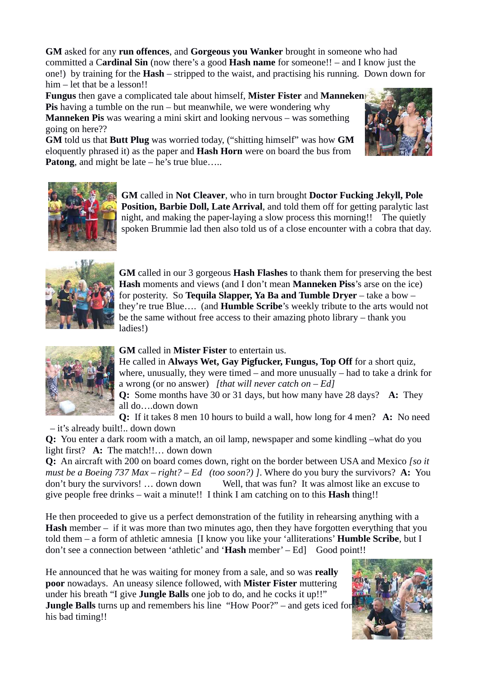**GM** asked for any **run offences**, and **Gorgeous you Wanker** brought in someone who had committed a C**ardinal Sin** (now there's a good **Hash name** for someone!! – and I know just the one!) by training for the **Hash** – stripped to the waist, and practising his running. Down down for him – let that be a lesson!!

**Fungus** then gave a complicated tale about himself, **Mister Fister** and **Manneken Pis** having a tumble on the run – but meanwhile, we were wondering why **Manneken Pis** was wearing a mini skirt and looking nervous – was something going on here??



**GM** told us that **Butt Plug** was worried today, ("shitting himself" was how **GM** eloquently phrased it) as the paper and **Hash Horn** were on board the bus from **Patong**, and might be late – he's true blue…..



**GM** called in **Not Cleaver**, who in turn brought **Doctor Fucking Jekyll, Pole Position, Barbie Doll, Late Arrival**, and told them off for getting paralytic last night, and making the paper-laying a slow process this morning!! The quietly spoken Brummie lad then also told us of a close encounter with a cobra that day.



**GM** called in our 3 gorgeous **Hash Flashes** to thank them for preserving the best **Hash** moments and views (and I don't mean **Manneken Piss**'s arse on the ice) for posterity. So **Tequila Slapper, Ya Ba and Tumble Dryer** – take a bow – they're true Blue…. (and **Humble Scribe**'s weekly tribute to the arts would not be the same without free access to their amazing photo library – thank you ladies!)



### **GM** called in **Mister Fister** to entertain us.

He called in **Always Wet, Gay Pigfucker, Fungus, Top Off** for a short quiz, where, unusually, they were timed – and more unusually – had to take a drink for a wrong (or no answer) *[that will never catch on – Ed]*

**Q:** Some months have 30 or 31 days, but how many have 28 days? **A:** They all do….down down

**Q:** If it takes 8 men 10 hours to build a wall, how long for 4 men? **A:** No need – it's already built!.. down down

**Q:** You enter a dark room with a match, an oil lamp, newspaper and some kindling –what do you light first? **A:** The match!!… down down

**Q:** An aircraft with 200 on board comes down, right on the border between USA and Mexico *[so it must be a Boeing 737 Max – right? – Ed (too soon?) ]*. Where do you bury the survivors? **A:** You don't bury the survivors! ... down down Well, that was fun? It was almost like an excuse to give people free drinks – wait a minute!! I think I am catching on to this **Hash** thing!!

He then proceeded to give us a perfect demonstration of the futility in rehearsing anything with a **Hash** member – if it was more than two minutes ago, then they have forgotten everything that you told them – a form of athletic amnesia [I know you like your 'alliterations' **Humble Scribe**, but I don't see a connection between 'athletic' and '**Hash** member' – Ed] Good point!!

He announced that he was waiting for money from a sale, and so was **really poor** nowadays. An uneasy silence followed, with **Mister Fister** muttering under his breath "I give **Jungle Balls** one job to do, and he cocks it up!!" **Jungle Balls** turns up and remembers his line "How Poor?" – and gets iced for his bad timing!!

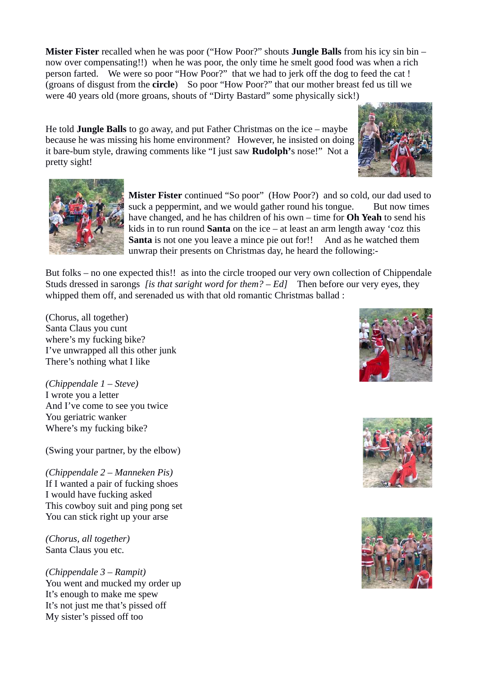**Mister Fister** recalled when he was poor ("How Poor?" shouts **Jungle Balls** from his icy sin bin – now over compensating!!) when he was poor, the only time he smelt good food was when a rich person farted. We were so poor "How Poor?" that we had to jerk off the dog to feed the cat ! (groans of disgust from the **circle**) So poor "How Poor?" that our mother breast fed us till we were 40 years old (more groans, shouts of "Dirty Bastard" some physically sick!)

He told **Jungle Balls** to go away, and put Father Christmas on the ice – maybe because he was missing his home environment? However, he insisted on doing it bare-bum style, drawing comments like "I just saw **Rudolph'**s nose!" Not a pretty sight!





**Mister Fister** continued "So poor" (How Poor?) and so cold, our dad used to suck a peppermint, and we would gather round his tongue. But now times have changed, and he has children of his own – time for **Oh Yeah** to send his kids in to run round **Santa** on the ice – at least an arm length away 'coz this **Santa** is not one you leave a mince pie out for!! And as he watched them unwrap their presents on Christmas day, he heard the following:-

But folks – no one expected this!! as into the circle trooped our very own collection of Chippendale Studs dressed in sarongs *[is that saright word for them? – Ed]* Then before our very eyes, they whipped them off, and serenaded us with that old romantic Christmas ballad :

(Chorus, all together) Santa Claus you cunt where's my fucking bike? I've unwrapped all this other junk There's nothing what I like

*(Chippendale 1 – Steve)* I wrote you a letter And I've come to see you twice You geriatric wanker Where's my fucking bike?

(Swing your partner, by the elbow)

*(Chippendale 2 – Manneken Pis)* If I wanted a pair of fucking shoes I would have fucking asked This cowboy suit and ping pong set You can stick right up your arse

*(Chorus, all together)* Santa Claus you etc.

*(Chippendale 3 – Rampit)* You went and mucked my order up It's enough to make me spew It's not just me that's pissed off My sister's pissed off too





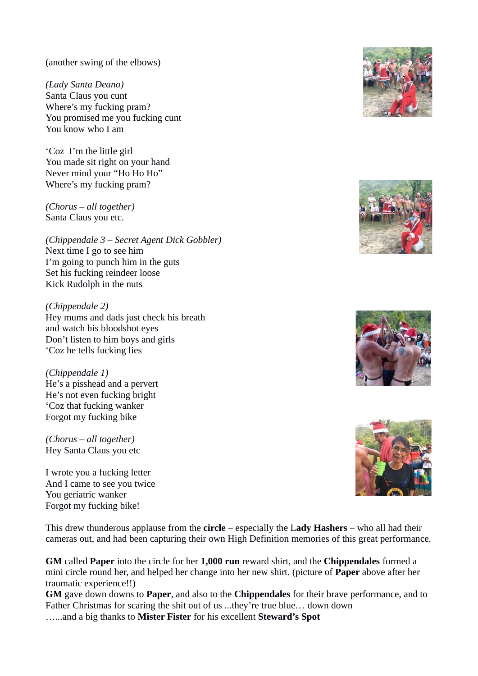#### (another swing of the elbows)

*(Lady Santa Deano)* Santa Claus you cunt Where's my fucking pram? You promised me you fucking cunt You know who I am

'Coz I'm the little girl You made sit right on your hand Never mind your "Ho Ho Ho" Where's my fucking pram?

*(Chorus – all together)* Santa Claus you etc.

*(Chippendale 3 – Secret Agent Dick Gobbler)* Next time I go to see him I'm going to punch him in the guts Set his fucking reindeer loose Kick Rudolph in the nuts

*(Chippendale 2)* Hey mums and dads just check his breath and watch his bloodshot eyes Don't listen to him boys and girls 'Coz he tells fucking lies

*(Chippendale 1)* He's a pisshead and a pervert He's not even fucking bright 'Coz that fucking wanker Forgot my fucking bike

*(Chorus – all together)* Hey Santa Claus you etc

I wrote you a fucking letter And I came to see you twice You geriatric wanker Forgot my fucking bike!

This drew thunderous applause from the **circle** – especially the L**ady Hashers** – who all had their cameras out, and had been capturing their own High Definition memories of this great performance.

**GM** called **Paper** into the circle for her **1,000 run** reward shirt, and the **Chippendales** formed a mini circle round her, and helped her change into her new shirt. (picture of **Paper** above after her traumatic experience!!)

**GM** gave down downs to **Paper**, and also to the **Chippendales** for their brave performance, and to Father Christmas for scaring the shit out of us ...they're true blue… down down …...and a big thanks to **Mister Fister** for his excellent **Steward's Spot**







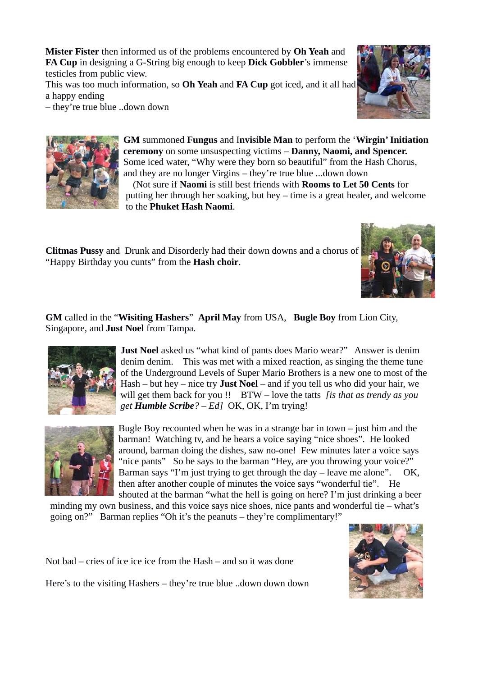**Mister Fister** then informed us of the problems encountered by **Oh Yeah** and **FA Cup** in designing a G-String big enough to keep **Dick Gobbler**'s immense testicles from public view.

This was too much information, so **Oh Yeah** and **FA Cup** got iced, and it all had a happy ending

– they're true blue ..down down





**GM** summoned **Fungus** and I**nvisible Man** to perform the '**Wirgin' Initiation ceremony** on some unsuspecting victims – **Danny, Naomi, and Spencer.** Some iced water, "Why were they born so beautiful" from the Hash Chorus, and they are no longer Virgins – they're true blue ...down down (Not sure if **Naomi** is still best friends with **Rooms to Let 50 Cents** for putting her through her soaking, but hey – time is a great healer, and welcome

to the **Phuket Hash Naomi**.

**Clitmas Pussy** and Drunk and Disorderly had their down downs and a chorus of "Happy Birthday you cunts" from the **Hash choir**.



**GM** called in the "**Wisiting Hashers**" **April May** from USA, **Bugle Boy** from Lion City, Singapore, and **Just Noel** from Tampa.



**Just Noel** asked us "what kind of pants does Mario wear?" Answer is denim denim denim. This was met with a mixed reaction, as singing the theme tune of the Underground Levels of Super Mario Brothers is a new one to most of the Hash – but hey – nice try **Just Noel** – and if you tell us who did your hair, we will get them back for you !! BTW – love the tatts *[is that as trendy as you get Humble Scribe? – Ed]* OK, OK, I'm trying!



Bugle Boy recounted when he was in a strange bar in town  $-$  just him and the barman! Watching tv, and he hears a voice saying "nice shoes". He looked around, barman doing the dishes, saw no-one! Few minutes later a voice says "nice pants" So he says to the barman "Hey, are you throwing your voice?" Barman says "I'm just trying to get through the day – leave me alone". OK, then after another couple of minutes the voice says "wonderful tie". He shouted at the barman "what the hell is going on here? I'm just drinking a beer

minding my own business, and this voice says nice shoes, nice pants and wonderful tie – what's going on?" Barman replies "Oh it's the peanuts – they're complimentary!"

Not bad – cries of ice ice ice from the Hash – and so it was done

Here's to the visiting Hashers – they're true blue ..down down down